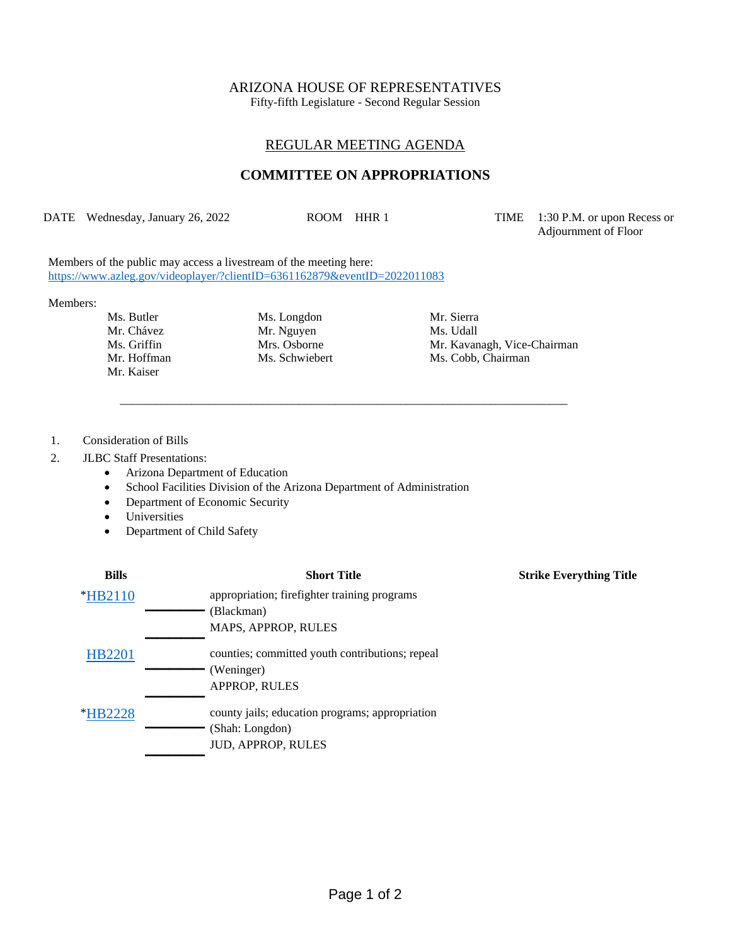### ARIZONA HOUSE OF REPRESENTATIVES

Fifty-fifth Legislature - Second Regular Session

# REGULAR MEETING AGENDA

## **COMMITTEE ON APPROPRIATIONS**

DATE Wednesday, January 26, 2022 ROOM HHR 1 TIME 1:30 P.M. or upon Recess or

\_\_\_\_\_\_\_\_\_\_\_\_\_\_\_\_\_\_\_\_\_\_\_\_\_\_\_\_\_\_\_\_\_\_\_\_\_\_\_\_\_\_\_\_\_\_\_\_\_\_\_\_\_\_\_\_\_\_\_\_\_\_\_\_\_\_\_\_\_\_\_\_\_\_\_

Adjournment of Floor

Members of the public may access a livestream of the meeting here: <https://www.azleg.gov/videoplayer/?clientID=6361162879&eventID=2022011083>

#### Members:

- Mr. Kaiser
- Ms. Butler Ms. Longdon Mr. Sierra Mr. Chávez Mr. Nguyen Ms. Udall<br>
Ms. Griffin Mrs. Osborne Mr. Kavan

Ms. Griffin Mrs. Osborne Mr. Kavanagh, Vice-Chairman Mr. Hoffman Ms. Schwiebert Ms. Cobb, Chairman

1. Consideration of Bills

#### 2. JLBC Staff Presentations:

- Arizona Department of Education
- School Facilities Division of the Arizona Department of Administration
- Department of Economic Security
- Universities
- Department of Child Safety

| <b>Bills</b>          | <b>Short Title</b>                              | <b>Strike Everything Title</b> |
|-----------------------|-------------------------------------------------|--------------------------------|
| <i>*</i> HB2110       | appropriation; firefighter training programs    |                                |
|                       | (Blackman)                                      |                                |
|                       | MAPS, APPROP, RULES                             |                                |
| <b>HB2201</b>         | counties; committed youth contributions; repeal |                                |
|                       | (Weninger)                                      |                                |
|                       | <b>APPROP, RULES</b>                            |                                |
| <i><b>*HB2228</b></i> | county jails; education programs; appropriation |                                |
|                       | (Shah: Longdon)                                 |                                |
|                       | <b>JUD, APPROP, RULES</b>                       |                                |